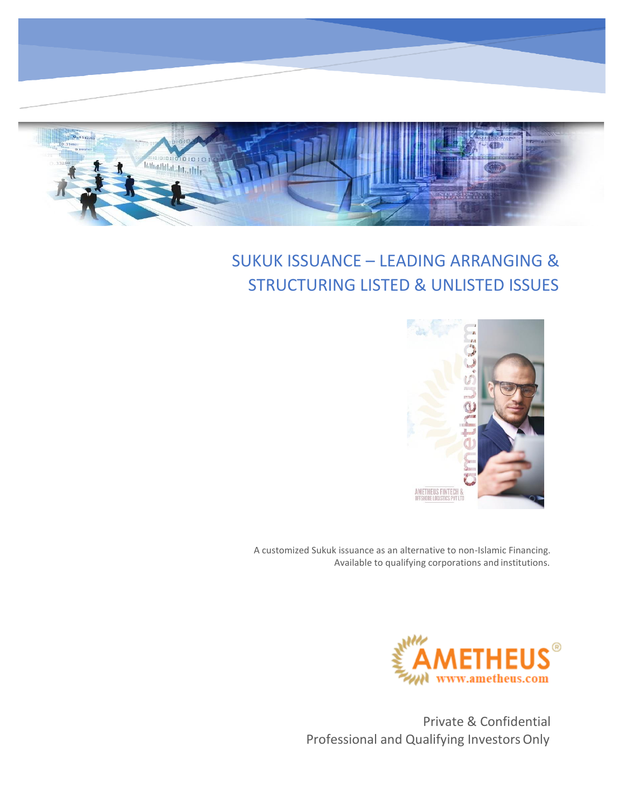

# SUKUK ISSUANCE – LEADING ARRANGING & STRUCTURING LISTED & UNLISTED ISSUES



A customized Sukuk issuance as an alternative to non-Islamic Financing. Available to qualifying corporations and institutions.



Private & Confidential Professional and Qualifying Investors Only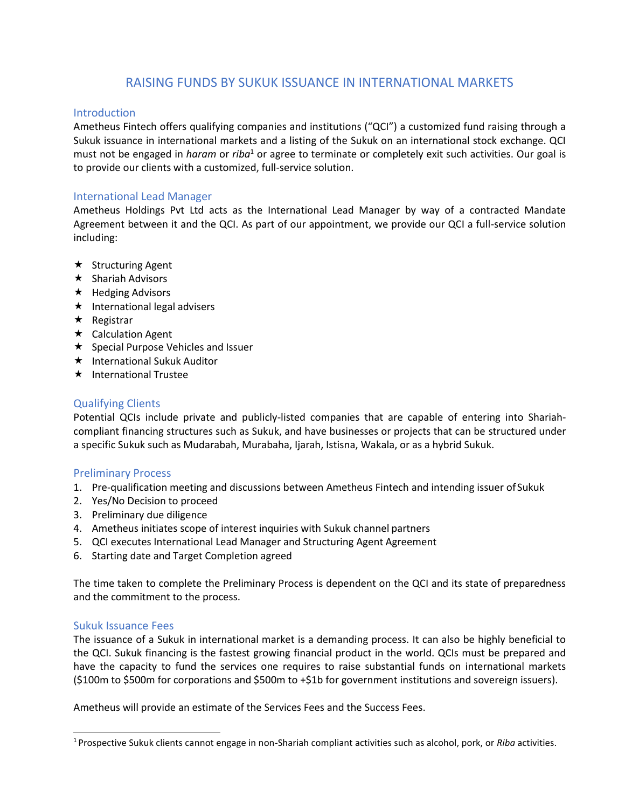# RAISING FUNDS BY SUKUK ISSUANCE IN INTERNATIONAL MARKETS

## **Introduction**

Ametheus Fintech offers qualifying companies and institutions ("QCI") a customized fund raising through a Sukuk issuance in international markets and a listing of the Sukuk on an international stock exchange. QCI must not be engaged in *haram* or *riba*<sup>1</sup> or agree to terminate or completely exit such activities. Our goal is to provide our clients with a customized, full-service solution.

## International Lead Manager

Ametheus Holdings Pvt Ltd acts as the International Lead Manager by way of a contracted Mandate Agreement between it and the QCI. As part of our appointment, we provide our QCI a full-service solution including:

- $\star$  Structuring Agent
- $\star$  Shariah Advisors
- $\star$  Hedging Advisors
- $\star$  International legal advisers
- $\star$  Registrar
- $\star$  Calculation Agent
- $\star$  Special Purpose Vehicles and Issuer
- $\star$  International Sukuk Auditor
- $\star$  International Trustee

## Qualifying Clients

Potential QCIs include private and publicly-listed companies that are capable of entering into Shariahcompliant financing structures such as Sukuk, and have businesses or projects that can be structured under a specific Sukuk such as Mudarabah, Murabaha, Ijarah, Istisna, Wakala, or as a hybrid Sukuk.

## Preliminary Process

- 1. Pre-qualification meeting and discussions between Ametheus Fintech and intending issuer of Sukuk
- 2. Yes/No Decision to proceed
- 3. Preliminary due diligence
- 4. Ametheus initiates scope of interest inquiries with Sukuk channel partners
- 5. QCI executes International Lead Manager and Structuring Agent Agreement
- 6. Starting date and Target Completion agreed

The time taken to complete the Preliminary Process is dependent on the QCI and its state of preparedness and the commitment to the process.

## Sukuk Issuance Fees

The issuance of a Sukuk in international market is a demanding process. It can also be highly beneficial to the QCI. Sukuk financing is the fastest growing financial product in the world. QCIs must be prepared and have the capacity to fund the services one requires to raise substantial funds on international markets (\$100m to \$500m for corporations and \$500m to +\$1b for government institutions and sovereign issuers).

Ametheus will provide an estimate of the Services Fees and the Success Fees.

<sup>1</sup> Prospective Sukuk clients cannot engage in non-Shariah compliant activities such as alcohol, pork, or *Riba* activities.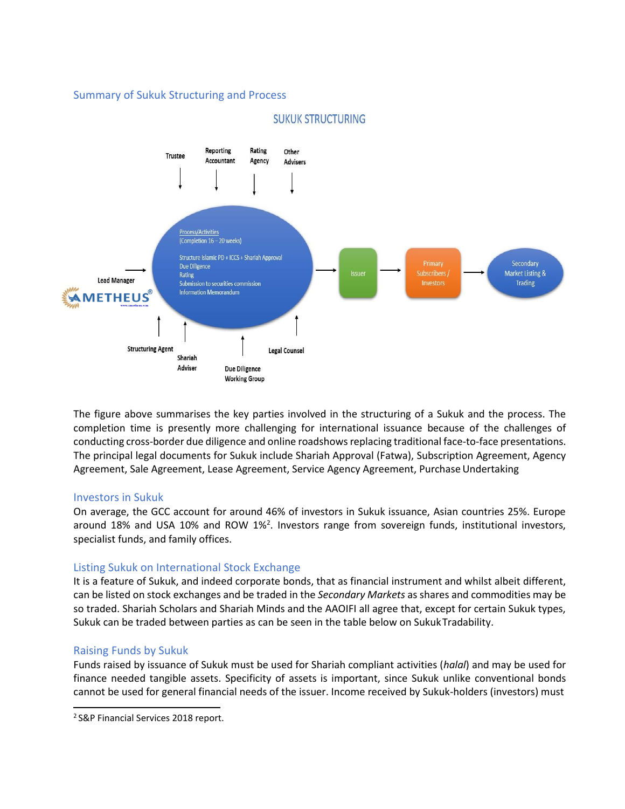## Summary of Sukuk Structuring and Process



## **SUKUK STRUCTURING**

The figure above summarises the key parties involved in the structuring of a Sukuk and the process. The completion time is presently more challenging for international issuance because of the challenges of conducting cross-border due diligence and online roadshowsreplacing traditional face-to-face presentations. The principal legal documents for Sukuk include Shariah Approval (Fatwa), Subscription Agreement, Agency Agreement, Sale Agreement, Lease Agreement, Service Agency Agreement, Purchase Undertaking

#### Investors in Sukuk

On average, the GCC account for around 46% of investors in Sukuk issuance, Asian countries 25%. Europe around 18% and USA 10% and ROW 1%<sup>2</sup>. Investors range from sovereign funds, institutional investors, specialist funds, and family offices.

## Listing Sukuk on International Stock Exchange

It is a feature of Sukuk, and indeed corporate bonds, that as financial instrument and whilst albeit different, can be listed on stock exchanges and be traded in the *Secondary Markets* as shares and commodities may be so traded. Shariah Scholars and Shariah Minds and the AAOIFI all agree that, except for certain Sukuk types, Sukuk can be traded between parties as can be seen in the table below on SukukTradability.

## Raising Funds by Sukuk

Funds raised by issuance of Sukuk must be used for Shariah compliant activities (*halal*) and may be used for finance needed tangible assets. Specificity of assets is important, since Sukuk unlike conventional bonds cannot be used for general financial needs of the issuer. Income received by Sukuk-holders (investors) must

<sup>&</sup>lt;sup>2</sup> S&P Financial Services 2018 report.